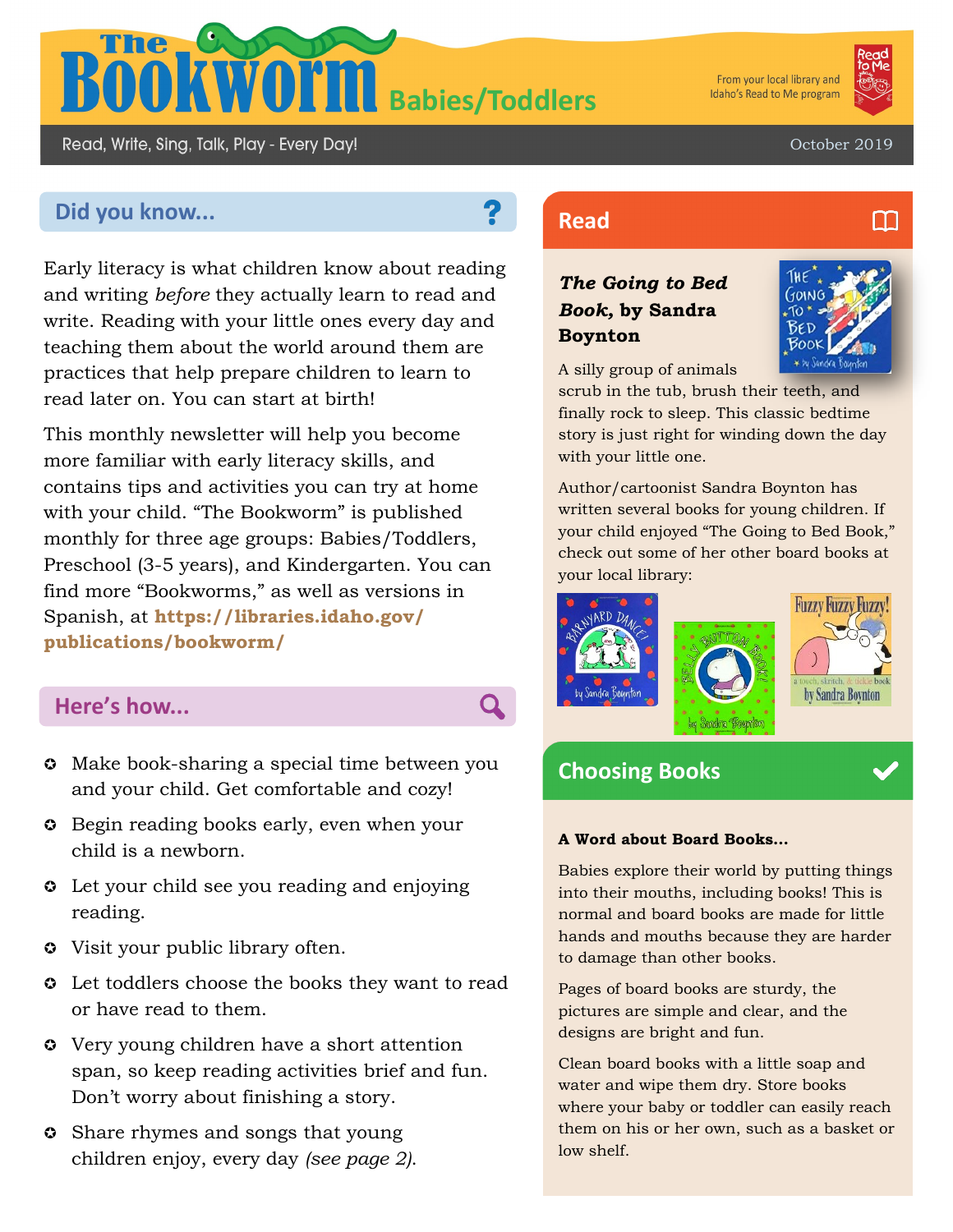

From your local library and Idaho's Read to Me program



October 2019

# **Did you know... Read Read**

Read, Write, Sing, Talk, Play - Every Day!

Early literacy is what children know about reading and writing *before* they actually learn to read and write. Reading with your little ones every day and teaching them about the world around them are practices that help prepare children to learn to read later on. You can start at birth!

This monthly newsletter will help you become more familiar with early literacy skills, and contains tips and activities you can try at home with your child. "The Bookworm" is published monthly for three age groups: Babies/Toddlers, Preschool (3-5 years), and Kindergarten. You can find more "Bookworms," as well as versions in Spanish, at **https://libraries.idaho.gov/ publications/bookworm/**

## **Here's how...**

- $\circ$  Make book-sharing a special time between you and your child. Get comfortable and cozy!
- **Begin reading books early, even when your** child is a newborn.
- **C** Let your child see you reading and enjoying reading.
- Visit your public library often.
- $\circ$  Let toddlers choose the books they want to read or have read to them.
- Very young children have a short attention span, so keep reading activities brief and fun. Don't worry about finishing a story.
- **C** Share rhymes and songs that young children enjoy, every day *(see page 2)*.

### *The Going to Bed Book,* **by Sandra Boynton**



A silly group of animals

scrub in the tub, brush their teeth, and finally rock to sleep. This classic bedtime story is just right for winding down the day with your little one.

Author/cartoonist Sandra Boynton has written several books for young children. If your child enjoyed "The Going to Bed Book," check out some of her other board books at your local library:



## **Choosing Books**

#### **A Word about Board Books…**

Babies explore their world by putting things into their mouths, including books! This is normal and board books are made for little hands and mouths because they are harder to damage than other books.

Pages of board books are sturdy, the pictures are simple and clear, and the designs are bright and fun.

Clean board books with a little soap and water and wipe them dry. Store books where your baby or toddler can easily reach them on his or her own, such as a basket or low shelf.